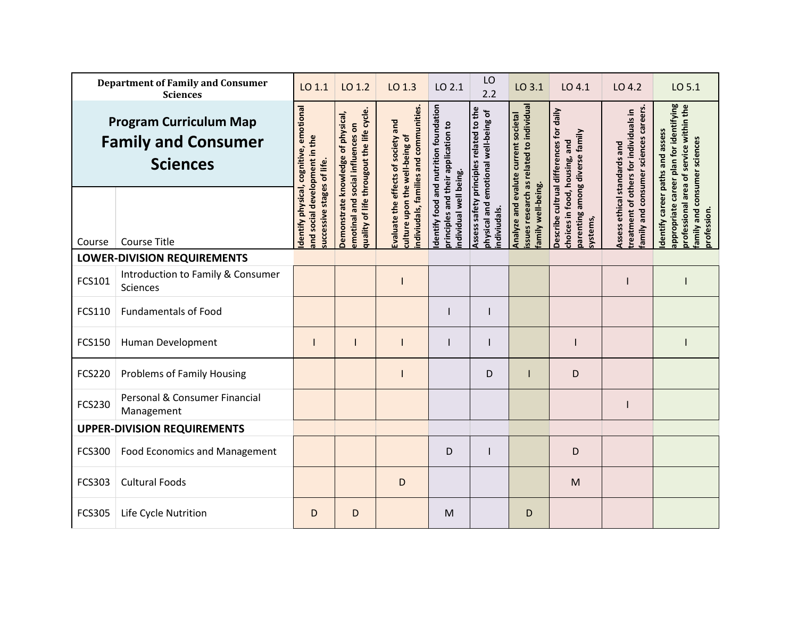| <b>Department of Family and Consumer</b><br><b>Sciences</b>                    |                                               | LO 1.1                                                      | LO 1.2                                                                                                               | LO 1.3                                                                       | LO 2.1                                                                       | LO<br>2.2                                                                       | LO 3.1                                                                           | LO 4.1                                                                      | LO 4.2                                                                          | LO 5.1                                                                             |
|--------------------------------------------------------------------------------|-----------------------------------------------|-------------------------------------------------------------|----------------------------------------------------------------------------------------------------------------------|------------------------------------------------------------------------------|------------------------------------------------------------------------------|---------------------------------------------------------------------------------|----------------------------------------------------------------------------------|-----------------------------------------------------------------------------|---------------------------------------------------------------------------------|------------------------------------------------------------------------------------|
| <b>Program Curriculum Map</b><br><b>Family and Consumer</b><br><b>Sciences</b> |                                               | dentify physical, cognitive, emotional                      | quality of life througout the life cycle.<br>Demonstrate knowledge of physical,<br>emotinal and social influences on | indiviudals, families and communities<br>Evaluate the effects of society and | dentify food and nutrition foundation<br>principles and their application to | Assess safety principles related to the<br>physical and emotional well-being of | issues research as related to individual<br>Analyze and evalute current societal | Describe cultrual differences for daily                                     | family and consumer sciences careers.<br>treatment of others for individuals in | appropriate career plan for identifying<br>professional area of service within the |
| Course                                                                         | <b>Course Title</b>                           | and social development in the<br>successive stages of life. |                                                                                                                      | culture upon the well-being of                                               | individual well being.                                                       | ndiviudals.                                                                     | family well-being.                                                               | parenting among diverse family<br>choices in food, housing, and<br>systems, | Assess ethical standards and                                                    | Identify career paths and assess<br>family and consumer sciences<br>profession.    |
|                                                                                | <b>LOWER-DIVISION REQUIREMENTS</b>            |                                                             |                                                                                                                      |                                                                              |                                                                              |                                                                                 |                                                                                  |                                                                             |                                                                                 |                                                                                    |
| FCS101                                                                         | Introduction to Family & Consumer<br>Sciences |                                                             |                                                                                                                      |                                                                              |                                                                              |                                                                                 |                                                                                  |                                                                             |                                                                                 |                                                                                    |
| FCS110                                                                         | <b>Fundamentals of Food</b>                   |                                                             |                                                                                                                      |                                                                              |                                                                              |                                                                                 |                                                                                  |                                                                             |                                                                                 |                                                                                    |
| <b>FCS150</b>                                                                  | Human Development                             |                                                             |                                                                                                                      |                                                                              |                                                                              |                                                                                 |                                                                                  |                                                                             |                                                                                 |                                                                                    |
| <b>FCS220</b>                                                                  | <b>Problems of Family Housing</b>             |                                                             |                                                                                                                      |                                                                              |                                                                              | D                                                                               |                                                                                  | D                                                                           |                                                                                 |                                                                                    |
| <b>FCS230</b>                                                                  | Personal & Consumer Financial<br>Management   |                                                             |                                                                                                                      |                                                                              |                                                                              |                                                                                 |                                                                                  |                                                                             |                                                                                 |                                                                                    |
| <b>UPPER-DIVISION REQUIREMENTS</b>                                             |                                               |                                                             |                                                                                                                      |                                                                              |                                                                              |                                                                                 |                                                                                  |                                                                             |                                                                                 |                                                                                    |
| <b>FCS300</b>                                                                  | <b>Food Economics and Management</b>          |                                                             |                                                                                                                      |                                                                              | D                                                                            |                                                                                 |                                                                                  | D                                                                           |                                                                                 |                                                                                    |
| FCS303                                                                         | <b>Cultural Foods</b>                         |                                                             |                                                                                                                      | D                                                                            |                                                                              |                                                                                 |                                                                                  | M                                                                           |                                                                                 |                                                                                    |
| <b>FCS305</b>                                                                  | Life Cycle Nutrition                          | D                                                           | D                                                                                                                    |                                                                              | M                                                                            |                                                                                 | D                                                                                |                                                                             |                                                                                 |                                                                                    |